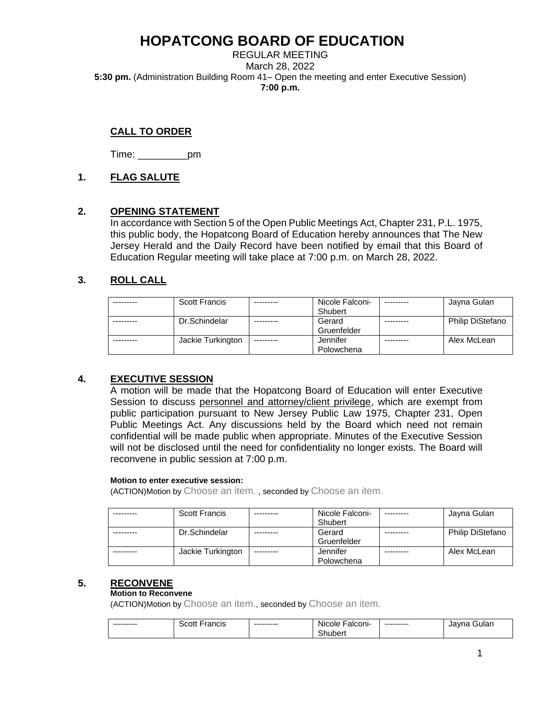REGULAR MEETING March 28, 2022 **5:30 pm.** (Administration Building Room 41– Open the meeting and enter Executive Session) **7:00 p.m.**

## **CALL TO ORDER**

Time: \_\_\_\_\_\_\_\_\_pm

## **1. FLAG SALUTE**

## **2. OPENING STATEMENT**

In accordance with Section 5 of the Open Public Meetings Act, Chapter 231, P.L. 1975, this public body, the Hopatcong Board of Education hereby announces that The New Jersey Herald and the Daily Record have been notified by email that this Board of Education Regular meeting will take place at 7:00 p.m. on March 28, 2022.

## **3. ROLL CALL**

| <b>Scott Francis</b> | Nicole Falconi- | --------- | Jayna Gulan             |
|----------------------|-----------------|-----------|-------------------------|
|                      | Shubert         |           |                         |
| Dr.Schindelar        | Gerard          | --------- | <b>Philip DiStefano</b> |
|                      | Gruenfelder     |           |                         |
| Jackie Turkington    | Jennifer        |           | Alex McLean             |
|                      | Polowchena      |           |                         |

## **4. EXECUTIVE SESSION**

A motion will be made that the Hopatcong Board of Education will enter Executive Session to discuss personnel and attorney/client privilege, which are exempt from public participation pursuant to New Jersey Public Law 1975, Chapter 231, Open Public Meetings Act. Any discussions held by the Board which need not remain confidential will be made public when appropriate. Minutes of the Executive Session will not be disclosed until the need for confidentiality no longer exists. The Board will reconvene in public session at 7:00 p.m.

### **Motion to enter executive session:**

(ACTION)Motion by Choose an item. , seconded by Choose an item.

| <b>Scott Francis</b> |            | Nicole Falconi-<br>Shubert | Jayna Gulan             |
|----------------------|------------|----------------------------|-------------------------|
| Dr.Schindelar        |            | Gerard<br>Gruenfelder      | <b>Philip DiStefano</b> |
| Jackie Turkington    | ---------- | Jennifer<br>Polowchena     | Alex McLean             |

## **5. RECONVENE**

### **Motion to Reconvene**

(ACTION)Motion by Choose an item., seconded by Choose an item.

| ---------- | 300<br>CO1<br>'ancis<br>,,,,, | --------- | . .<br><b>Nicole</b><br>alconi-         | --------- | חור<br>ularظ<br>Jav:<br>на |
|------------|-------------------------------|-----------|-----------------------------------------|-----------|----------------------------|
|            |                               |           | $\overline{\phantom{0}}$<br>.<br>nupert |           |                            |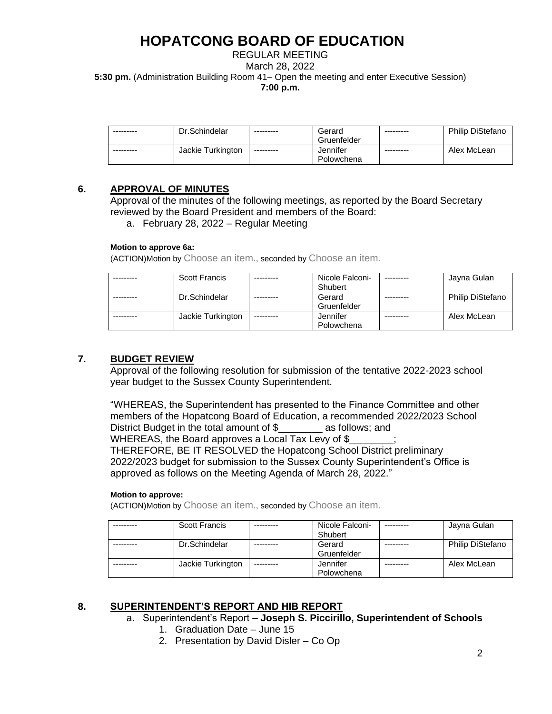REGULAR MEETING March 28, 2022 **5:30 pm.** (Administration Building Room 41– Open the meeting and enter Executive Session) **7:00 p.m.**

| --------- | Dr.Schindelar     | ---------  | Gerard<br>Gruenfelder  | --------- | <b>Philip DiStefano</b> |
|-----------|-------------------|------------|------------------------|-----------|-------------------------|
| --------- | Jackie Turkington | ---------- | Jennifer<br>Polowchena | --------- | Alex McLean             |

### **6. APPROVAL OF MINUTES**

Approval of the minutes of the following meetings, as reported by the Board Secretary reviewed by the Board President and members of the Board:

a. February 28, 2022 – Regular Meeting

### **Motion to approve 6a:**

(ACTION)Motion by Choose an item., seconded by Choose an item.

| <b>Scott Francis</b> |           | Nicole Falconi- | Jayna Gulan             |
|----------------------|-----------|-----------------|-------------------------|
|                      |           | Shubert         |                         |
| Dr.Schindelar        |           | Gerard          | <b>Philip DiStefano</b> |
|                      |           | Gruenfelder     |                         |
| Jackie Turkington    | --------- | Jennifer        | Alex McLean             |
|                      |           | Polowchena      |                         |

## **7. BUDGET REVIEW**

Approval of the following resolution for submission of the tentative 2022-2023 school year budget to the Sussex County Superintendent.

"WHEREAS, the Superintendent has presented to the Finance Committee and other members of the Hopatcong Board of Education, a recommended 2022/2023 School District Budget in the total amount of \$ as follows; and WHEREAS, the Board approves a Local Tax Levy of \$ THEREFORE, BE IT RESOLVED the Hopatcong School District preliminary 2022/2023 budget for submission to the Sussex County Superintendent's Office is approved as follows on the Meeting Agenda of March 28, 2022."

### **Motion to approve:**

(ACTION)Motion by Choose an item., seconded by Choose an item.

| <b>Scott Francis</b> | ---------  | Nicole Falconi- | ---------- | Jayna Gulan             |
|----------------------|------------|-----------------|------------|-------------------------|
|                      |            | Shubert         |            |                         |
| Dr.Schindelar        |            | Gerard          |            | <b>Philip DiStefano</b> |
|                      |            | Gruenfelder     |            |                         |
| Jackie Turkington    | ---------- | Jennifer        |            | Alex McLean             |
|                      |            | Polowchena      |            |                         |

## **8. SUPERINTENDENT'S REPORT AND HIB REPORT**

a. Superintendent's Report – **Joseph S. Piccirillo, Superintendent of Schools**

- 1. Graduation Date June 15
- 2. Presentation by David Disler Co Op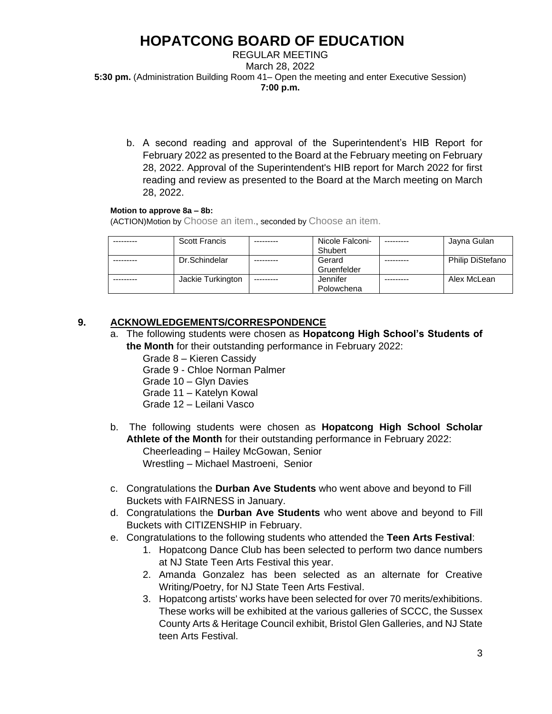REGULAR MEETING March 28, 2022 **5:30 pm.** (Administration Building Room 41– Open the meeting and enter Executive Session) **7:00 p.m.**

b. A second reading and approval of the Superintendent's HIB Report for February 2022 as presented to the Board at the February meeting on February 28, 2022. Approval of the Superintendent's HIB report for March 2022 for first reading and review as presented to the Board at the March meeting on March 28, 2022.

## **Motion to approve 8a – 8b:**

(ACTION)Motion by Choose an item., seconded by Choose an item.

| Scott Francis     |            | Nicole Falconi-<br>Shubert | --------- | Jayna Gulan             |
|-------------------|------------|----------------------------|-----------|-------------------------|
| Dr.Schindelar     |            | Gerard<br>Gruenfelder      |           | <b>Philip DiStefano</b> |
| Jackie Turkington | ---------- | Jennifer<br>Polowchena     |           | Alex McLean             |

## **9. ACKNOWLEDGEMENTS/CORRESPONDENCE**

- a. The following students were chosen as **Hopatcong High School's Students of the Month** for their outstanding performance in February 2022:
	- Grade 8 Kieren Cassidy Grade 9 - Chloe Norman Palmer Grade 10 – Glyn Davies Grade 11 – Katelyn Kowal Grade 12 – Leilani Vasco
- b. The following students were chosen as **Hopatcong High School Scholar Athlete of the Month** for their outstanding performance in February 2022: Cheerleading – Hailey McGowan, Senior Wrestling – Michael Mastroeni, Senior
- c. Congratulations the **Durban Ave Students** who went above and beyond to Fill Buckets with FAIRNESS in January.
- d. Congratulations the **Durban Ave Students** who went above and beyond to Fill Buckets with CITIZENSHIP in February.
- e. Congratulations to the following students who attended the **Teen Arts Festival**:
	- 1. Hopatcong Dance Club has been selected to perform two dance numbers at NJ State Teen Arts Festival this year.
	- 2. Amanda Gonzalez has been selected as an alternate for Creative Writing/Poetry, for NJ State Teen Arts Festival.
	- 3. Hopatcong artists' works have been selected for over 70 merits/exhibitions. These works will be exhibited at the various galleries of SCCC, the Sussex County Arts & Heritage Council exhibit, Bristol Glen Galleries, and NJ State teen Arts Festival.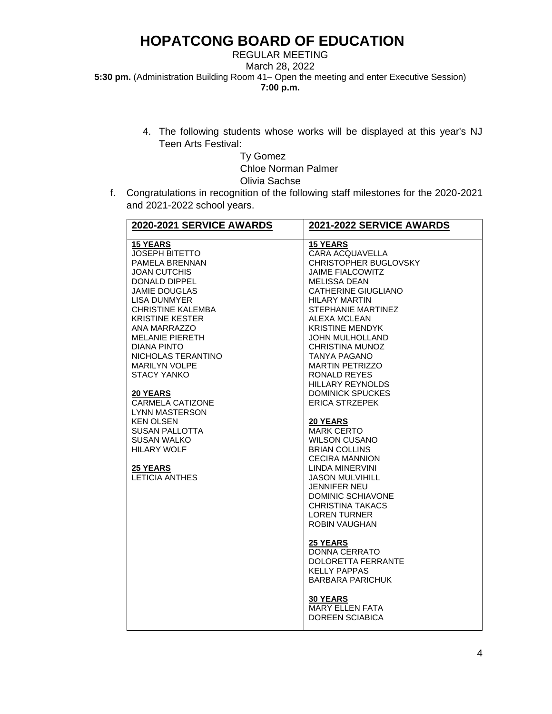REGULAR MEETING March 28, 2022 **5:30 pm.** (Administration Building Room 41– Open the meeting and enter Executive Session) **7:00 p.m.**

> 4. The following students whose works will be displayed at this year's NJ Teen Arts Festival:

> > Ty Gomez Chloe Norman Palmer Olivia Sachse

f. Congratulations in recognition of the following staff milestones for the 2020-2021 and 2021-2022 school years.

| 2021-2022 SERVICE AWARDS                                                                                                                                                                                                                                                                                                                                                                                                                                                                                                                                                                                                                                                                                                                                                                                                                |
|-----------------------------------------------------------------------------------------------------------------------------------------------------------------------------------------------------------------------------------------------------------------------------------------------------------------------------------------------------------------------------------------------------------------------------------------------------------------------------------------------------------------------------------------------------------------------------------------------------------------------------------------------------------------------------------------------------------------------------------------------------------------------------------------------------------------------------------------|
| <b>15 YEARS</b><br><b>CARA ACQUAVELLA</b><br><b>CHRISTOPHER BUGLOVSKY</b><br><b>JAIME FIALCOWITZ</b><br><b>MELISSA DEAN</b><br><b>CATHERINE GIUGLIANO</b><br><b>HILARY MARTIN</b><br><b>STEPHANIE MARTINEZ</b><br>ALEXA MCLEAN<br><b>KRISTINE MENDYK</b><br>JOHN MULHOLLAND<br><b>CHRISTINA MUNOZ</b><br><b>TANYA PAGANO</b><br><b>MARTIN PETRIZZO</b><br>RONALD REYES<br><b>HILLARY REYNOLDS</b><br><b>DOMINICK SPUCKES</b><br><b>ERICA STRZEPEK</b><br><b>20 YEARS</b><br><b>MARK CERTO</b><br><b>WILSON CUSANO</b><br><b>BRIAN COLLINS</b><br><b>CECIRA MANNION</b><br>LINDA MINERVINI<br><b>JASON MULVIHILL</b><br>JENNIFER NEU<br>DOMINIC SCHIAVONE<br>CHRISTINA TAKACS<br><b>LOREN TURNER</b><br>ROBIN VAUGHAN<br><b>25 YEARS</b><br><b>DONNA CERRATO</b><br>DOLORETTA FERRANTE<br><b>KELLY PAPPAS</b><br><b>BARBARA PARICHUK</b> |
| <b>30 YEARS</b><br><b>MARY ELLEN FATA</b><br><b>DOREEN SCIABICA</b>                                                                                                                                                                                                                                                                                                                                                                                                                                                                                                                                                                                                                                                                                                                                                                     |
|                                                                                                                                                                                                                                                                                                                                                                                                                                                                                                                                                                                                                                                                                                                                                                                                                                         |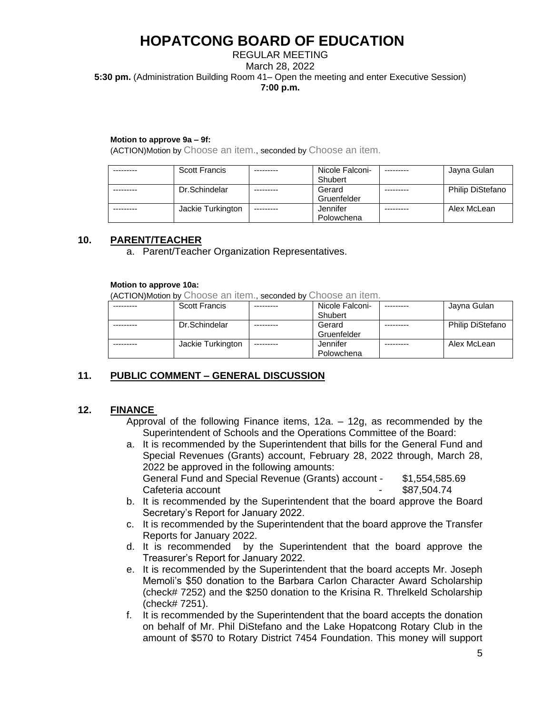### REGULAR MEETING March 28, 2022 **5:30 pm.** (Administration Building Room 41– Open the meeting and enter Executive Session) **7:00 p.m.**

#### **Motion to approve 9a – 9f:**

(ACTION)Motion by Choose an item., seconded by Choose an item.

| <b>Scott Francis</b> |            | Nicole Falconi- |           | Jayna Gulan             |
|----------------------|------------|-----------------|-----------|-------------------------|
|                      |            | Shubert         |           |                         |
| Dr.Schindelar        |            | Gerard          |           | <b>Philip DiStefano</b> |
|                      |            | Gruenfelder     |           |                         |
| Jackie Turkington    | ---------- | Jennifer        | --------- | Alex McLean             |
|                      |            | Polowchena      |           |                         |

### **10. PARENT/TEACHER**

a. Parent/Teacher Organization Representatives.

#### **Motion to approve 10a:**

(ACTION)Motion by Choose an item., seconded by Choose an item.

| <b>Scott Francis</b> |           | Nicole Falconi- | Jayna Gulan             |
|----------------------|-----------|-----------------|-------------------------|
|                      |           | Shubert         |                         |
| Dr.Schindelar        |           | Gerard          | <b>Philip DiStefano</b> |
|                      |           | Gruenfelder     |                         |
| Jackie Turkington    | --------- | Jennifer        | Alex McLean             |
|                      |           | Polowchena      |                         |

## **11. PUBLIC COMMENT – GENERAL DISCUSSION**

### **12. FINANCE**

Approval of the following Finance items, 12a. – 12g, as recommended by the Superintendent of Schools and the Operations Committee of the Board:

- a. It is recommended by the Superintendent that bills for the General Fund and Special Revenues (Grants) account, February 28, 2022 through, March 28, 2022 be approved in the following amounts: General Fund and Special Revenue (Grants) account - \$1,554,585.69 Cafeteria account Cafeteria account
- b. It is recommended by the Superintendent that the board approve the Board Secretary's Report for January 2022.
- c. It is recommended by the Superintendent that the board approve the Transfer Reports for January 2022.
- d. It is recommended by the Superintendent that the board approve the Treasurer's Report for January 2022.
- e. It is recommended by the Superintendent that the board accepts Mr. Joseph Memoli's \$50 donation to the Barbara Carlon Character Award Scholarship (check# 7252) and the \$250 donation to the Krisina R. Threlkeld Scholarship (check# 7251).
- f. It is recommended by the Superintendent that the board accepts the donation on behalf of Mr. Phil DiStefano and the Lake Hopatcong Rotary Club in the amount of \$570 to Rotary District 7454 Foundation. This money will support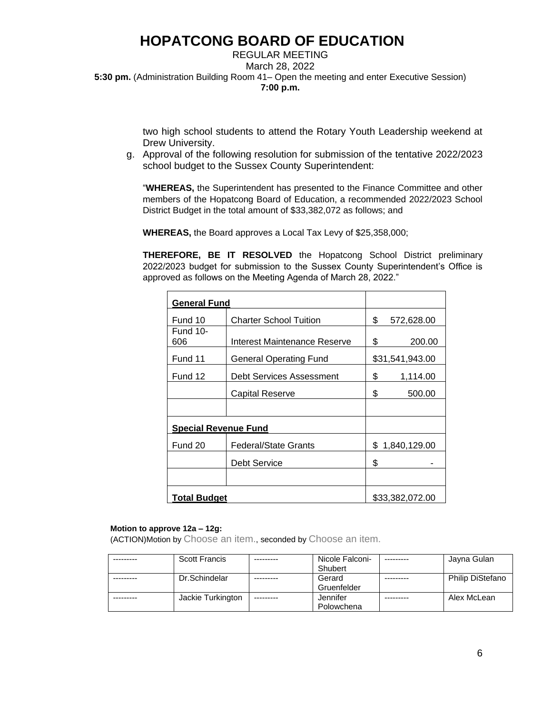### REGULAR MEETING March 28, 2022 **5:30 pm.** (Administration Building Room 41– Open the meeting and enter Executive Session) **7:00 p.m.**

two high school students to attend the Rotary Youth Leadership weekend at Drew University.

g. Approval of the following resolution for submission of the tentative 2022/2023 school budget to the Sussex County Superintendent:

"**WHEREAS,** the Superintendent has presented to the Finance Committee and other members of the Hopatcong Board of Education, a recommended 2022/2023 School District Budget in the total amount of \$33,382,072 as follows; and

**WHEREAS,** the Board approves a Local Tax Levy of \$25,358,000;

**THEREFORE, BE IT RESOLVED** the Hopatcong School District preliminary 2022/2023 budget for submission to the Sussex County Superintendent's Office is approved as follows on the Meeting Agenda of March 28, 2022."

| <b>General Fund</b>         |                               |    |                 |
|-----------------------------|-------------------------------|----|-----------------|
| Fund 10                     | <b>Charter School Tuition</b> | \$ | 572,628.00      |
| Fund 10-<br>606             | Interest Maintenance Reserve  | \$ | 200.00          |
| Fund 11                     | <b>General Operating Fund</b> |    | \$31,541,943.00 |
| Fund 12                     | Debt Services Assessment      | \$ | 1,114.00        |
|                             | Capital Reserve               | \$ | 500.00          |
|                             |                               |    |                 |
| <b>Special Revenue Fund</b> |                               |    |                 |
| Fund 20                     | Federal/State Grants          |    | \$1,840,129.00  |
|                             | Debt Service                  | \$ |                 |
|                             |                               |    |                 |
| <b>Total Budget</b>         |                               |    | \$33,382,072.00 |

#### **Motion to approve 12a – 12g:**

(ACTION)Motion by Choose an item., seconded by Choose an item.

| <b>Scott Francis</b> |           | Nicole Falconi-<br>Shubert | Jayna Gulan             |
|----------------------|-----------|----------------------------|-------------------------|
| Dr.Schindelar        |           | Gerard<br>Gruenfelder      | <b>Philip DiStefano</b> |
| Jackie Turkington    | --------- | Jennifer<br>Polowchena     | Alex McLean             |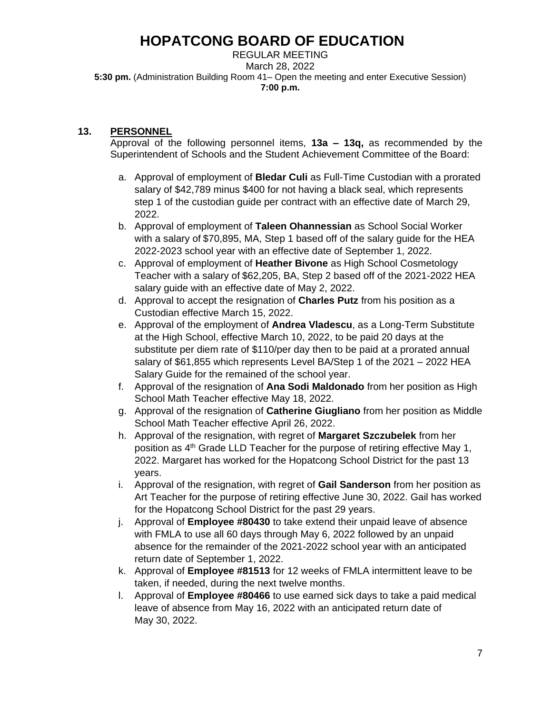REGULAR MEETING March 28, 2022 **5:30 pm.** (Administration Building Room 41– Open the meeting and enter Executive Session) **7:00 p.m.**

## **13. PERSONNEL**

Approval of the following personnel items, **13a – 13q,** as recommended by the Superintendent of Schools and the Student Achievement Committee of the Board:

- a. Approval of employment of **Bledar Culi** as Full-Time Custodian with a prorated salary of \$42,789 minus \$400 for not having a black seal, which represents step 1 of the custodian guide per contract with an effective date of March 29, 2022.
- b. Approval of employment of **Taleen Ohannessian** as School Social Worker with a salary of \$70,895, MA, Step 1 based off of the salary guide for the HEA 2022-2023 school year with an effective date of September 1, 2022.
- c. Approval of employment of **Heather Bivone** as High School Cosmetology Teacher with a salary of \$62,205, BA, Step 2 based off of the 2021-2022 HEA salary guide with an effective date of May 2, 2022.
- d. Approval to accept the resignation of **Charles Putz** from his position as a Custodian effective March 15, 2022.
- e. Approval of the employment of **Andrea Vladescu**, as a Long-Term Substitute at the High School, effective March 10, 2022, to be paid 20 days at the substitute per diem rate of \$110/per day then to be paid at a prorated annual salary of \$61,855 which represents Level BA/Step 1 of the 2021 – 2022 HEA Salary Guide for the remained of the school year.
- f. Approval of the resignation of **Ana Sodi Maldonado** from her position as High School Math Teacher effective May 18, 2022.
- g. Approval of the resignation of **Catherine Giugliano** from her position as Middle School Math Teacher effective April 26, 2022.
- h. Approval of the resignation, with regret of **Margaret Szczubelek** from her position as 4th Grade LLD Teacher for the purpose of retiring effective May 1, 2022. Margaret has worked for the Hopatcong School District for the past 13 years.
- i. Approval of the resignation, with regret of **Gail Sanderson** from her position as Art Teacher for the purpose of retiring effective June 30, 2022. Gail has worked for the Hopatcong School District for the past 29 years.
- j. Approval of **Employee #80430** to take extend their unpaid leave of absence with FMLA to use all 60 days through May 6, 2022 followed by an unpaid absence for the remainder of the 2021-2022 school year with an anticipated return date of September 1, 2022.
- k. Approval of **Employee #81513** for 12 weeks of FMLA intermittent leave to be taken, if needed, during the next twelve months.
- l. Approval of **Employee #80466** to use earned sick days to take a paid medical leave of absence from May 16, 2022 with an anticipated return date of May 30, 2022.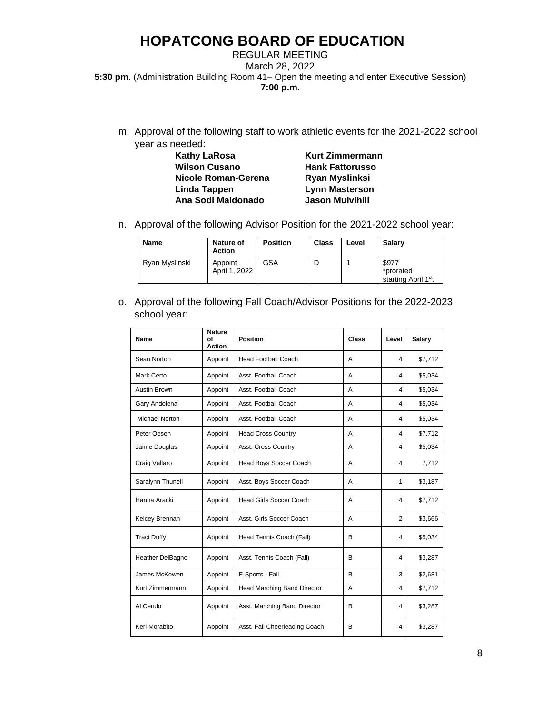### REGULAR MEETING March 28, 2022 **5:30 pm.** (Administration Building Room 41– Open the meeting and enter Executive Session) **7:00 p.m.**

m. Approval of the following staff to work athletic events for the 2021-2022 school year as needed:

| Kathy LaRosa         |
|----------------------|
| <b>Wilson Cusano</b> |
| Nicole Roman-Gerena  |
| Linda Tappen         |
| Ana Sodi Maldonado   |
|                      |

**Kurt Zimmermann Hank Fattorusso Nicole Roman-Gerena Ryan Myslinksi Lynn Masterson Jason Mulvihill** 

n. Approval of the following Advisor Position for the 2021-2022 school year:

| <b>Name</b>    | <b>Nature of</b><br><b>Action</b> | <b>Position</b> | <b>Class</b> | Level | Salarv                                                 |
|----------------|-----------------------------------|-----------------|--------------|-------|--------------------------------------------------------|
| Ryan Myslinski | Appoint<br>April 1, 2022          | GSA             |              |       | \$977<br>*prorated<br>starting April 1 <sup>st</sup> . |

o. Approval of the following Fall Coach/Advisor Positions for the 2022-2023 school year:

| Name               | <b>Nature</b><br>Ωf<br><b>Action</b> | <b>Position</b>                | Class | Level | Salary  |
|--------------------|--------------------------------------|--------------------------------|-------|-------|---------|
| Sean Norton        | Appoint                              | <b>Head Football Coach</b>     | A     | 4     | \$7,712 |
| Mark Certo         | Appoint                              | Asst. Football Coach           | A     | 4     | \$5,034 |
| Austin Brown       | Appoint                              | Asst. Football Coach           | A     | 4     | \$5,034 |
| Gary Andolena      | Appoint                              | Asst. Football Coach           | A     | 4     | \$5,034 |
| Michael Norton     | Appoint                              | Asst. Football Coach           | A     | 4     | \$5,034 |
| Peter Oesen        | Appoint                              | <b>Head Cross Country</b>      | A     | 4     | \$7,712 |
| Jaime Douglas      | Appoint                              | Asst. Cross Country            | A     | 4     | \$5,034 |
| Craig Vallaro      | Appoint                              | Head Boys Soccer Coach         | A     | 4     | 7,712   |
| Saralynn Thunell   | Appoint                              | Asst. Boys Soccer Coach        | A     | 1     | \$3,187 |
| Hanna Aracki       | Appoint                              | <b>Head Girls Soccer Coach</b> | A     | 4     | \$7,712 |
| Kelcey Brennan     | Appoint                              | Asst. Girls Soccer Coach       | A     | 2     | \$3,666 |
| <b>Traci Duffy</b> | Appoint                              | Head Tennis Coach (Fall)       | B     | 4     | \$5,034 |
| Heather DelBagno   | Appoint                              | Asst. Tennis Coach (Fall)      | B     | 4     | \$3,287 |
| James McKowen      | Appoint                              | E-Sports - Fall                | B     | 3     | \$2,681 |
| Kurt Zimmermann    | Appoint                              | Head Marching Band Director    | A     | 4     | \$7,712 |
| Al Cerulo          | Appoint                              | Asst. Marching Band Director   | B     | 4     | \$3,287 |
| Keri Morabito      | Appoint                              | Asst. Fall Cheerleading Coach  | B     | 4     | \$3,287 |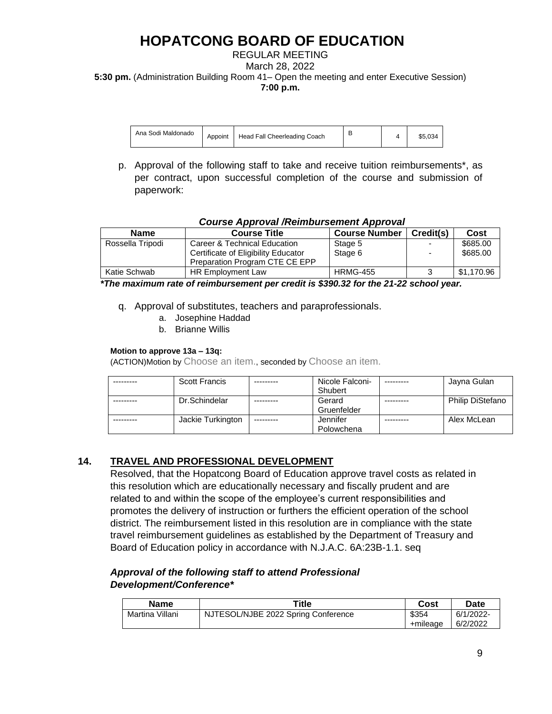### REGULAR MEETING March 28, 2022 **5:30 pm.** (Administration Building Room 41– Open the meeting and enter Executive Session) **7:00 p.m.**

| Ana Sodi Maldonado | Appoint | Head Fall Cheerleading Coach |  |  | \$5.034 |
|--------------------|---------|------------------------------|--|--|---------|
|--------------------|---------|------------------------------|--|--|---------|

p. Approval of the following staff to take and receive tuition reimbursements\*, as per contract, upon successful completion of the course and submission of paperwork:

### *Course Approval /Reimbursement Approval*

| <b>Name</b>      | <b>Course Title</b>                 | <b>Course Number</b> | Credit(s) | Cost       |
|------------------|-------------------------------------|----------------------|-----------|------------|
| Rossella Tripodi | Career & Technical Education        | Stage 5              | $\sim$    | \$685.00   |
|                  | Certificate of Eligibility Educator | Stage 6              |           | \$685.00   |
|                  | Preparation Program CTE CE EPP      |                      |           |            |
| Katie Schwab     | HR Employment Law                   | <b>HRMG-455</b>      |           | \$1.170.96 |

 *\*The maximum rate of reimbursement per credit is \$390.32 for the 21-22 school year.*

- q. Approval of substitutes, teachers and paraprofessionals.
	- a. Josephine Haddad
	- b. Brianne Willis

### **Motion to approve 13a – 13q:**

(ACTION)Motion by Choose an item., seconded by Choose an item.

| <b>Scott Francis</b> |            | Nicole Falconi- | Jayna Gulan             |
|----------------------|------------|-----------------|-------------------------|
|                      |            | Shubert         |                         |
| Dr.Schindelar        |            | Gerard          | <b>Philip DiStefano</b> |
|                      |            | Gruenfelder     |                         |
| Jackie Turkington    | ---------- | Jennifer        | Alex McLean             |
|                      |            | Polowchena      |                         |

## **14. TRAVEL AND PROFESSIONAL DEVELOPMENT**

Resolved, that the Hopatcong Board of Education approve travel costs as related in this resolution which are educationally necessary and fiscally prudent and are related to and within the scope of the employee's current responsibilities and promotes the delivery of instruction or furthers the efficient operation of the school district. The reimbursement listed in this resolution are in compliance with the state travel reimbursement guidelines as established by the Department of Treasury and Board of Education policy in accordance with N.J.A.C. 6A:23B-1.1. seq

## *Approval of the following staff to attend Professional Development/Conference\**

| Name            | ™itle                               | Cost     | Date      |
|-----------------|-------------------------------------|----------|-----------|
| Martina Villani | NJTESOL/NJBE 2022 Spring Conference | \$354    | 6/1/2022- |
|                 |                                     | +mileage | 6/2/2022  |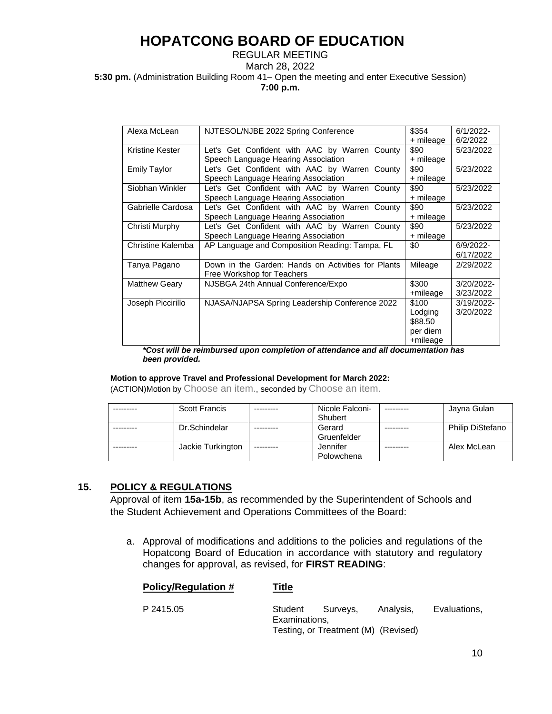### REGULAR MEETING March 28, 2022 **5:30 pm.** (Administration Building Room 41– Open the meeting and enter Executive Session) **7:00 p.m.**

| Alexa McLean         | NJTESOL/NJBE 2022 Spring Conference                | \$354     | 6/1/2022-  |
|----------------------|----------------------------------------------------|-----------|------------|
|                      |                                                    | + mileage | 6/2/2022   |
| Kristine Kester      | Let's Get Confident with AAC by Warren County      | \$90      | 5/23/2022  |
|                      | Speech Language Hearing Association                | + mileage |            |
| <b>Emily Taylor</b>  | Let's Get Confident with AAC by Warren County      | \$90      | 5/23/2022  |
|                      | Speech Language Hearing Association                | + mileage |            |
| Siobhan Winkler      | Let's Get Confident with AAC by Warren County      | \$90      | 5/23/2022  |
|                      | Speech Language Hearing Association                | + mileage |            |
| Gabrielle Cardosa    | Let's Get Confident with AAC by Warren County      | \$90      | 5/23/2022  |
|                      | Speech Language Hearing Association                | + mileage |            |
| Christi Murphy       | Let's Get Confident with AAC by Warren County      | \$90      | 5/23/2022  |
|                      | Speech Language Hearing Association                | + mileage |            |
| Christine Kalemba    | AP Language and Composition Reading: Tampa, FL     | \$0       | 6/9/2022-  |
|                      |                                                    |           | 6/17/2022  |
| Tanya Pagano         | Down in the Garden: Hands on Activities for Plants | Mileage   | 2/29/2022  |
|                      | Free Workshop for Teachers                         |           |            |
| <b>Matthew Geary</b> | NJSBGA 24th Annual Conference/Expo                 | \$300     | 3/20/2022- |
|                      |                                                    | +mileage  | 3/23/2022  |
| Joseph Piccirillo    | NJASA/NJAPSA Spring Leadership Conference 2022     | \$100     | 3/19/2022- |
|                      |                                                    | Lodging   | 3/20/2022  |
|                      |                                                    | \$88.50   |            |
|                      |                                                    | per diem  |            |
|                      |                                                    | +mileage  |            |
|                      |                                                    |           |            |

*\*Cost will be reimbursed upon completion of attendance and all documentation has been provided.* 

#### **Motion to approve Travel and Professional Development for March 2022:**

(ACTION)Motion by Choose an item., seconded by Choose an item.

| <b>Scott Francis</b> |           | Nicole Falconi- | Jayna Gulan      |
|----------------------|-----------|-----------------|------------------|
|                      |           | Shubert         |                  |
| Dr.Schindelar        |           | Gerard          | Philip DiStefano |
|                      |           | Gruenfelder     |                  |
| Jackie Turkington    | --------- | Jennifer        | Alex McLean      |
|                      |           | Polowchena      |                  |

## **15. POLICY & REGULATIONS**

Approval of item **15a-15b**, as recommended by the Superintendent of Schools and the Student Achievement and Operations Committees of the Board:

a. Approval of modifications and additions to the policies and regulations of the Hopatcong Board of Education in accordance with statutory and regulatory changes for approval, as revised, for **FIRST READING**:

| <b>Policy/Regulation #</b> | Title         |                                                         |           |              |
|----------------------------|---------------|---------------------------------------------------------|-----------|--------------|
| P 2415.05                  | Examinations, | Student Surveys.<br>Testing, or Treatment (M) (Revised) | Analysis, | Evaluations, |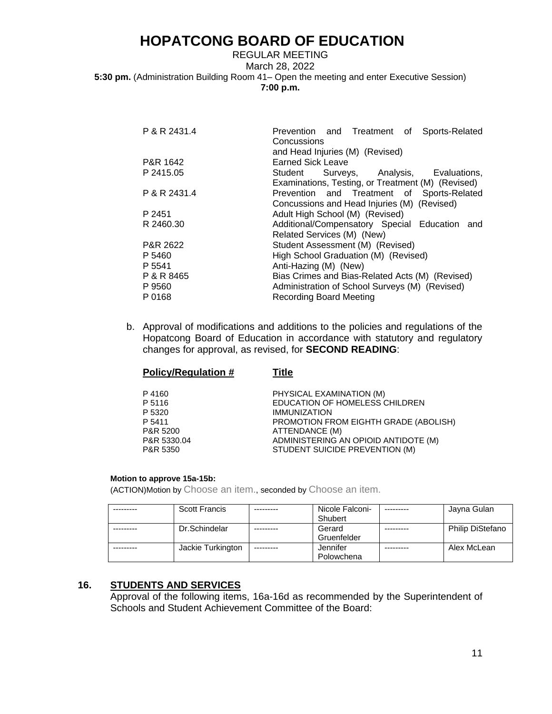### REGULAR MEETING March 28, 2022 **5:30 pm.** (Administration Building Room 41– Open the meeting and enter Executive Session) **7:00 p.m.**

| P & R 2431.4 | Prevention and Treatment of Sports-Related<br>Concussions |
|--------------|-----------------------------------------------------------|
|              | and Head Injuries (M) (Revised)                           |
| P&R 1642     | <b>Earned Sick Leave</b>                                  |
| P 2415.05    | Student Surveys, Analysis, Evaluations,                   |
|              | Examinations, Testing, or Treatment (M) (Revised)         |
| P & R 2431.4 | Prevention and Treatment of Sports-Related                |
|              | Concussions and Head Injuries (M) (Revised)               |
| P 2451       | Adult High School (M) (Revised)                           |
| R 2460.30    | Additional/Compensatory Special Education and             |
|              | Related Services (M) (New)                                |
| P&R 2622     | Student Assessment (M) (Revised)                          |
| P 5460       | High School Graduation (M) (Revised)                      |
| P 5541       | Anti-Hazing (M) (New)                                     |
| P & R 8465   | Bias Crimes and Bias-Related Acts (M) (Revised)           |
| P 9560       | Administration of School Surveys (M) (Revised)            |
| P 0168       | Recording Board Meeting                                   |

b. Approval of modifications and additions to the policies and regulations of the Hopatcong Board of Education in accordance with statutory and regulatory changes for approval, as revised, for **SECOND READING**:

| <b>Policy/Regulation #</b> | Title                                 |
|----------------------------|---------------------------------------|
| P4160                      | PHYSICAL EXAMINATION (M)              |
| P 5116                     | EDUCATION OF HOMELESS CHILDREN        |
| P 5320                     | <b>IMMUNIZATION</b>                   |
| P 5411                     | PROMOTION FROM EIGHTH GRADE (ABOLISH) |
| P&R 5200                   | ATTENDANCE (M)                        |
| P&R 5330.04                | ADMINISTERING AN OPIOID ANTIDOTE (M)  |
| P&R 5350                   | STUDENT SUICIDE PREVENTION (M)        |

### **Motion to approve 15a-15b:**

(ACTION)Motion by Choose an item., seconded by Choose an item.

| <b>Scott Francis</b> |            | Nicole Falconi- | Jayna Gulan      |
|----------------------|------------|-----------------|------------------|
|                      |            | Shubert         |                  |
| Dr.Schindelar        |            | Gerard          | Philip DiStefano |
|                      |            | Gruenfelder     |                  |
| Jackie Turkington    | ---------- | Jennifer        | Alex McLean      |
|                      |            | Polowchena      |                  |

## **16. STUDENTS AND SERVICES**

Approval of the following items, 16a-16d as recommended by the Superintendent of Schools and Student Achievement Committee of the Board: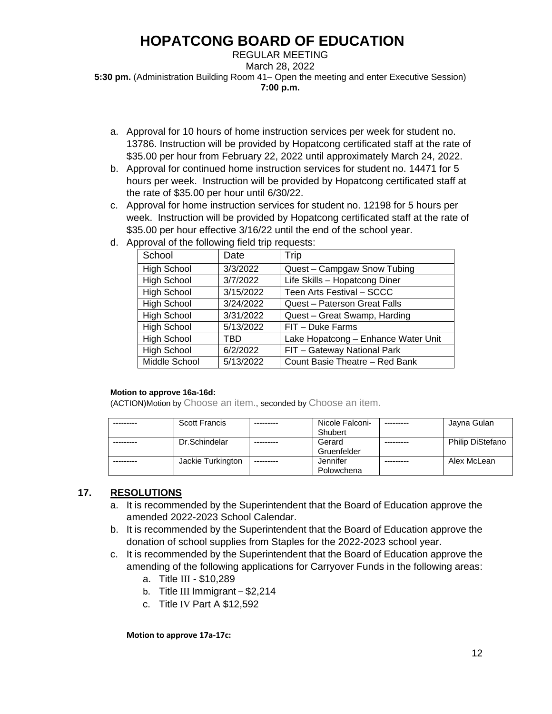REGULAR MEETING March 28, 2022 **5:30 pm.** (Administration Building Room 41– Open the meeting and enter Executive Session) **7:00 p.m.**

- a. Approval for 10 hours of home instruction services per week for student no. 13786. Instruction will be provided by Hopatcong certificated staff at the rate of \$35.00 per hour from February 22, 2022 until approximately March 24, 2022.
- b. Approval for continued home instruction services for student no. 14471 for 5 hours per week. Instruction will be provided by Hopatcong certificated staff at the rate of \$35.00 per hour until 6/30/22.
- c. Approval for home instruction services for student no. 12198 for 5 hours per week. Instruction will be provided by Hopatcong certificated staff at the rate of \$35.00 per hour effective 3/16/22 until the end of the school year.
- d. Approval of the following field trip requests:

| School             | Date      | Trip                                |
|--------------------|-----------|-------------------------------------|
| <b>High School</b> | 3/3/2022  | Quest - Campgaw Snow Tubing         |
| <b>High School</b> | 3/7/2022  | Life Skills - Hopatcong Diner       |
| <b>High School</b> | 3/15/2022 | Teen Arts Festival - SCCC           |
| <b>High School</b> | 3/24/2022 | Quest - Paterson Great Falls        |
| <b>High School</b> | 3/31/2022 | Quest - Great Swamp, Harding        |
| <b>High School</b> | 5/13/2022 | FIT - Duke Farms                    |
| <b>High School</b> | TBD       | Lake Hopatcong - Enhance Water Unit |
| <b>High School</b> | 6/2/2022  | FIT - Gateway National Park         |
| Middle School      | 5/13/2022 | Count Basie Theatre - Red Bank      |

### **Motion to approve 16a-16d:**

(ACTION)Motion by Choose an item., seconded by Choose an item.

| <b>Scott Francis</b> |            | Nicole Falconi- | Jayna Gulan      |
|----------------------|------------|-----------------|------------------|
|                      |            | Shubert         |                  |
| Dr.Schindelar        |            | Gerard          | Philip DiStefano |
|                      |            | Gruenfelder     |                  |
| Jackie Turkington    | ---------- | Jennifer        | Alex McLean      |
|                      |            | Polowchena      |                  |

## **17. RESOLUTIONS**

- a. It is recommended by the Superintendent that the Board of Education approve the amended 2022-2023 School Calendar.
- b. It is recommended by the Superintendent that the Board of Education approve the donation of school supplies from Staples for the 2022-2023 school year.
- c. It is recommended by the Superintendent that the Board of Education approve the amending of the following applications for Carryover Funds in the following areas:
	- a. Title III \$10,289
	- b. Title III Immigrant \$2,214
	- c. Title IV Part A \$12,592

**Motion to approve 17a-17c:**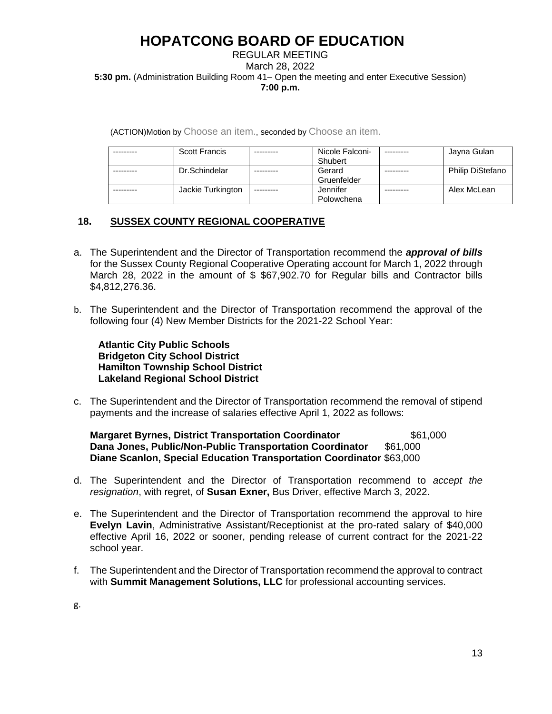### REGULAR MEETING March 28, 2022 **5:30 pm.** (Administration Building Room 41– Open the meeting and enter Executive Session) **7:00 p.m.**

(ACTION)Motion by Choose an item., seconded by Choose an item.

| <b>Scott Francis</b> |           | Nicole Falconi- | Jayna Gulan             |
|----------------------|-----------|-----------------|-------------------------|
|                      |           | Shubert         |                         |
| Dr.Schindelar        |           | Gerard          | <b>Philip DiStefano</b> |
|                      |           | Gruenfelder     |                         |
| Jackie Turkington    | --------- | Jennifer        | Alex McLean             |
|                      |           | Polowchena      |                         |

## **18. SUSSEX COUNTY REGIONAL COOPERATIVE**

- a. The Superintendent and the Director of Transportation recommend the *approval of bills* for the Sussex County Regional Cooperative Operating account for March 1, 2022 through March 28, 2022 in the amount of \$ \$67,902.70 for Regular bills and Contractor bills \$4,812,276.36.
- b. The Superintendent and the Director of Transportation recommend the approval of the following four (4) New Member Districts for the 2021-22 School Year:

 **Atlantic City Public Schools Bridgeton City School District Hamilton Township School District Lakeland Regional School District** 

c. The Superintendent and the Director of Transportation recommend the removal of stipend payments and the increase of salaries effective April 1, 2022 as follows:

**Margaret Byrnes, District Transportation Coordinator**  $$61,000$ **Dana Jones, Public/Non-Public Transportation Coordinator** \$61,000 **Diane Scanlon, Special Education Transportation Coordinator** \$63,000

- d. The Superintendent and the Director of Transportation recommend to *accept the resignation*, with regret, of **Susan Exner,** Bus Driver, effective March 3, 2022.
- e. The Superintendent and the Director of Transportation recommend the approval to hire **Evelyn Lavin**, Administrative Assistant/Receptionist at the pro-rated salary of \$40,000 effective April 16, 2022 or sooner, pending release of current contract for the 2021-22 school year.
- f. The Superintendent and the Director of Transportation recommend the approval to contract with **Summit Management Solutions, LLC** for professional accounting services.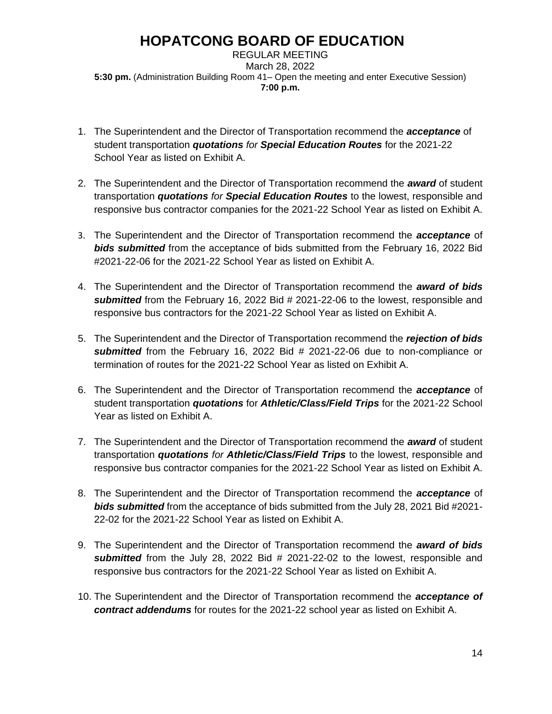REGULAR MEETING March 28, 2022 **5:30 pm.** (Administration Building Room 41– Open the meeting and enter Executive Session) **7:00 p.m.**

- 1. The Superintendent and the Director of Transportation recommend the *acceptance* of student transportation *quotations for Special Education Routes* for the 2021-22 School Year as listed on Exhibit A.
- 2. The Superintendent and the Director of Transportation recommend the *award* of student transportation *quotations for Special Education Routes* to the lowest, responsible and responsive bus contractor companies for the 2021-22 School Year as listed on Exhibit A.
- 3. The Superintendent and the Director of Transportation recommend the *acceptance* of *bids submitted* from the acceptance of bids submitted from the February 16, 2022 Bid #2021-22-06 for the 2021-22 School Year as listed on Exhibit A.
- 4. The Superintendent and the Director of Transportation recommend the *award of bids submitted* from the February 16, 2022 Bid # 2021-22-06 to the lowest, responsible and responsive bus contractors for the 2021-22 School Year as listed on Exhibit A.
- 5. The Superintendent and the Director of Transportation recommend the *rejection of bids submitted* from the February 16, 2022 Bid # 2021-22-06 due to non-compliance or termination of routes for the 2021-22 School Year as listed on Exhibit A.
- 6. The Superintendent and the Director of Transportation recommend the *acceptance* of student transportation *quotations* for *Athletic/Class/Field Trips* for the 2021-22 School Year as listed on Exhibit A.
- 7. The Superintendent and the Director of Transportation recommend the *award* of student transportation *quotations for Athletic/Class/Field Trips* to the lowest, responsible and responsive bus contractor companies for the 2021-22 School Year as listed on Exhibit A.
- 8. The Superintendent and the Director of Transportation recommend the *acceptance* of *bids submitted* from the acceptance of bids submitted from the July 28, 2021 Bid #2021- 22-02 for the 2021-22 School Year as listed on Exhibit A.
- 9. The Superintendent and the Director of Transportation recommend the *award of bids submitted* from the July 28, 2022 Bid # 2021-22-02 to the lowest, responsible and responsive bus contractors for the 2021-22 School Year as listed on Exhibit A.
- 10. The Superintendent and the Director of Transportation recommend the *acceptance of contract addendums* for routes for the 2021-22 school year as listed on Exhibit A.